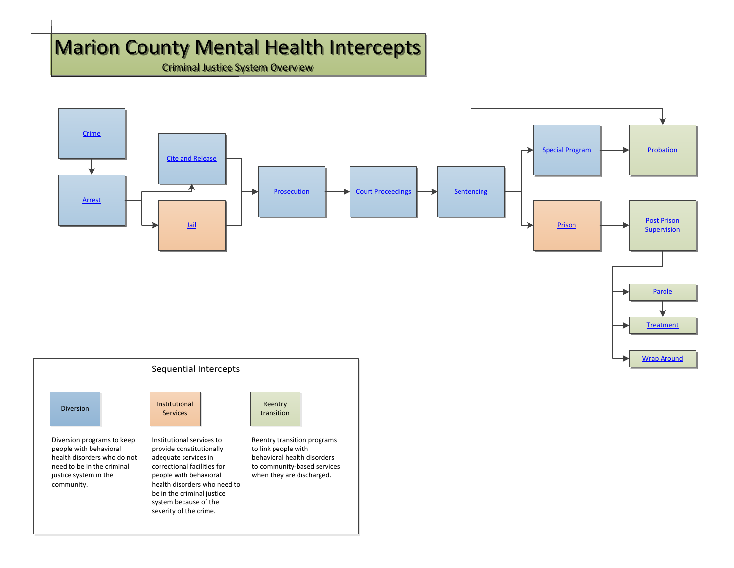## Marion County Mental Health Intercepts Marion County Mental Health Intercepts

Criminal Justice System Overview Criminal Justice System Overview



Diversion programs to keep people with behavioral health disorders who do not need to be in the criminal justice system in the Diversion programs to keep<br>
people with behavioral<br>
health disorders who do not<br>
need to be in the criminal<br>
in the people with behavioral<br>
correctional facilities for<br>
in the people with behavioral<br>
community.<br>
health dis



severity of the crime.

Reentry transition programs to link people with behavioral health disorders to community-based services when they are discharged.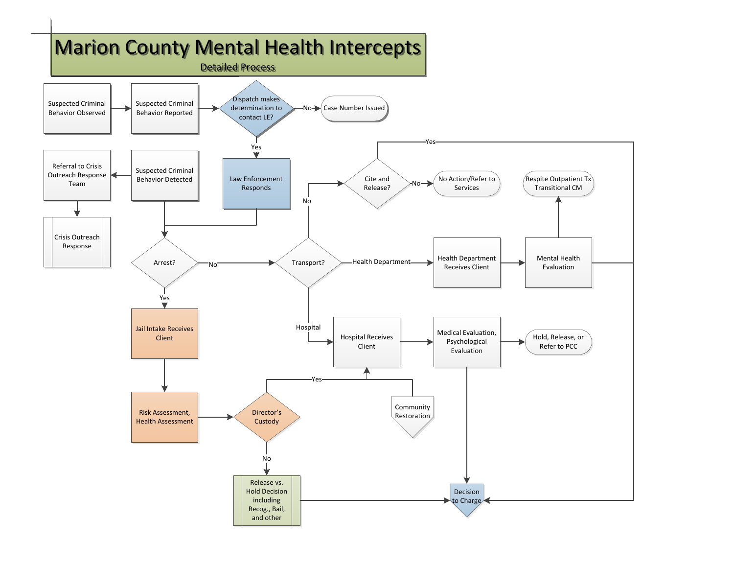<span id="page-1-0"></span>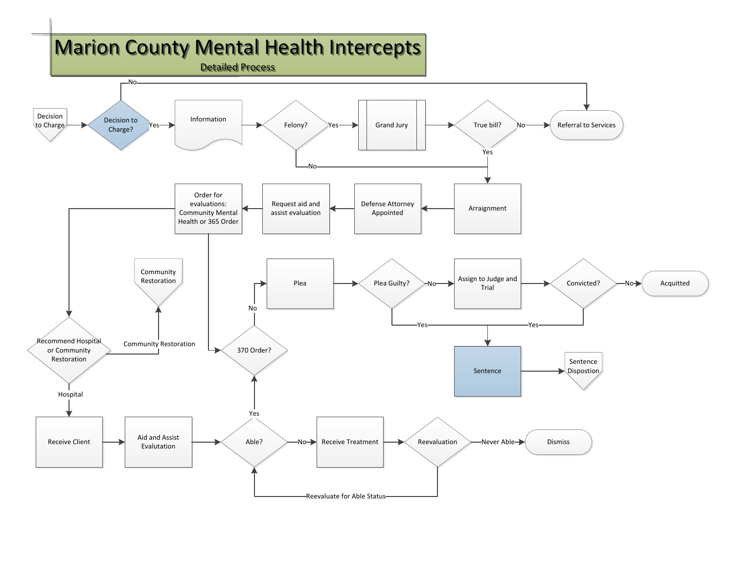<span id="page-2-0"></span>